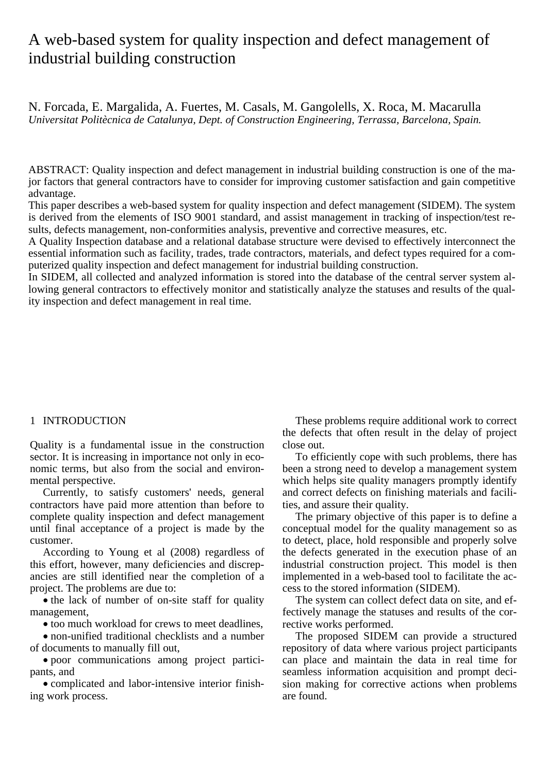# A web-based system for quality inspection and defect management of industrial building construction

N. Forcada, E. Margalida, A. Fuertes, M. Casals, M. Gangolells, X. Roca, M. Macarulla *Universitat Politècnica de Catalunya, Dept. of Construction Engineering, Terrassa, Barcelona, Spain.* 

ABSTRACT: Quality inspection and defect management in industrial building construction is one of the major factors that general contractors have to consider for improving customer satisfaction and gain competitive advantage.

This paper describes a web-based system for quality inspection and defect management (SIDEM). The system is derived from the elements of ISO 9001 standard, and assist management in tracking of inspection/test results, defects management, non-conformities analysis, preventive and corrective measures, etc.

A Quality Inspection database and a relational database structure were devised to effectively interconnect the essential information such as facility, trades, trade contractors, materials, and defect types required for a computerized quality inspection and defect management for industrial building construction.

In SIDEM, all collected and analyzed information is stored into the database of the central server system allowing general contractors to effectively monitor and statistically analyze the statuses and results of the quality inspection and defect management in real time.

# 1 INTRODUCTION

Quality is a fundamental issue in the construction sector. It is increasing in importance not only in economic terms, but also from the social and environmental perspective.

Currently, to satisfy customers' needs, general contractors have paid more attention than before to complete quality inspection and defect management until final acceptance of a project is made by the customer.

According to Young et al (2008) regardless of this effort, however, many deficiencies and discrepancies are still identified near the completion of a project. The problems are due to:

• the lack of number of on-site staff for quality management,

• too much workload for crews to meet deadlines,

• non-unified traditional checklists and a number of documents to manually fill out,

• poor communications among project participants, and

• complicated and labor-intensive interior finishing work process.

These problems require additional work to correct the defects that often result in the delay of project close out.

To efficiently cope with such problems, there has been a strong need to develop a management system which helps site quality managers promptly identify and correct defects on finishing materials and facilities, and assure their quality.

The primary objective of this paper is to define a conceptual model for the quality management so as to detect, place, hold responsible and properly solve the defects generated in the execution phase of an industrial construction project. This model is then implemented in a web-based tool to facilitate the access to the stored information (SIDEM).

The system can collect defect data on site, and effectively manage the statuses and results of the corrective works performed.

The proposed SIDEM can provide a structured repository of data where various project participants can place and maintain the data in real time for seamless information acquisition and prompt decision making for corrective actions when problems are found.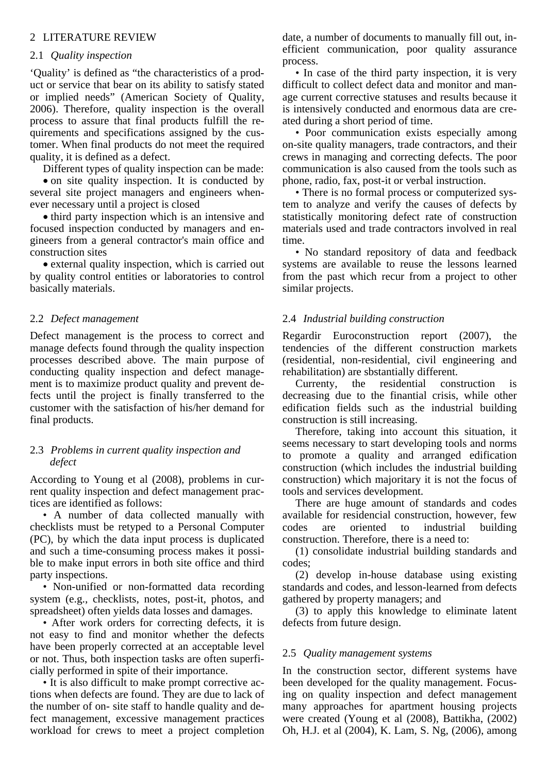# 2 LITERATURE REVIEW

# 2.1 *Quality inspection*

'Quality' is defined as "the characteristics of a product or service that bear on its ability to satisfy stated or implied needs" (American Society of Quality, 2006). Therefore, quality inspection is the overall process to assure that final products fulfill the requirements and specifications assigned by the customer. When final products do not meet the required quality, it is defined as a defect.

Different types of quality inspection can be made: • on site quality inspection. It is conducted by several site project managers and engineers whenever necessary until a project is closed

• third party inspection which is an intensive and focused inspection conducted by managers and engineers from a general contractor's main office and construction sites

• external quality inspection, which is carried out by quality control entities or laboratories to control basically materials.

# 2.2 *Defect management*

Defect management is the process to correct and manage defects found through the quality inspection processes described above. The main purpose of conducting quality inspection and defect management is to maximize product quality and prevent defects until the project is finally transferred to the customer with the satisfaction of his/her demand for final products.

# 2.3 *Problems in current quality inspection and defect*

According to Young et al (2008), problems in current quality inspection and defect management practices are identified as follows:

• A number of data collected manually with checklists must be retyped to a Personal Computer (PC), by which the data input process is duplicated and such a time-consuming process makes it possible to make input errors in both site office and third party inspections.

• Non-unified or non-formatted data recording system (e.g., checklists, notes, post-it, photos, and spreadsheet) often yields data losses and damages.

• After work orders for correcting defects, it is not easy to find and monitor whether the defects have been properly corrected at an acceptable level or not. Thus, both inspection tasks are often superficially performed in spite of their importance.

• It is also difficult to make prompt corrective actions when defects are found. They are due to lack of the number of on- site staff to handle quality and defect management, excessive management practices workload for crews to meet a project completion date, a number of documents to manually fill out, inefficient communication, poor quality assurance process.

• In case of the third party inspection, it is very difficult to collect defect data and monitor and manage current corrective statuses and results because it is intensively conducted and enormous data are created during a short period of time.

• Poor communication exists especially among on-site quality managers, trade contractors, and their crews in managing and correcting defects. The poor communication is also caused from the tools such as phone, radio, fax, post-it or verbal instruction.

• There is no formal process or computerized system to analyze and verify the causes of defects by statistically monitoring defect rate of construction materials used and trade contractors involved in real time.

• No standard repository of data and feedback systems are available to reuse the lessons learned from the past which recur from a project to other similar projects.

# 2.4 *Industrial building construction*

Regardir Euroconstruction report (2007), the tendencies of the different construction markets (residential, non-residential, civil engineering and rehabilitation) are sbstantially different.

Currenty, the residential construction is decreasing due to the finantial crisis, while other edification fields such as the industrial building construction is still increasing.

Therefore, taking into account this situation, it seems necessary to start developing tools and norms to promote a quality and arranged edification construction (which includes the industrial building construction) which majoritary it is not the focus of tools and services development.

There are huge amount of standards and codes available for residencial construction, however, few codes are oriented to industrial building construction. Therefore, there is a need to:

(1) consolidate industrial building standards and codes;

(2) develop in-house database using existing standards and codes, and lesson-learned from defects gathered by property managers; and

(3) to apply this knowledge to eliminate latent defects from future design.

# 2.5 *Quality management systems*

In the construction sector, different systems have been developed for the quality management. Focusing on quality inspection and defect management many approaches for apartment housing projects were created (Young et al (2008), Battikha, (2002) Oh, H.J. et al (2004), K. Lam, S. Ng, (2006), among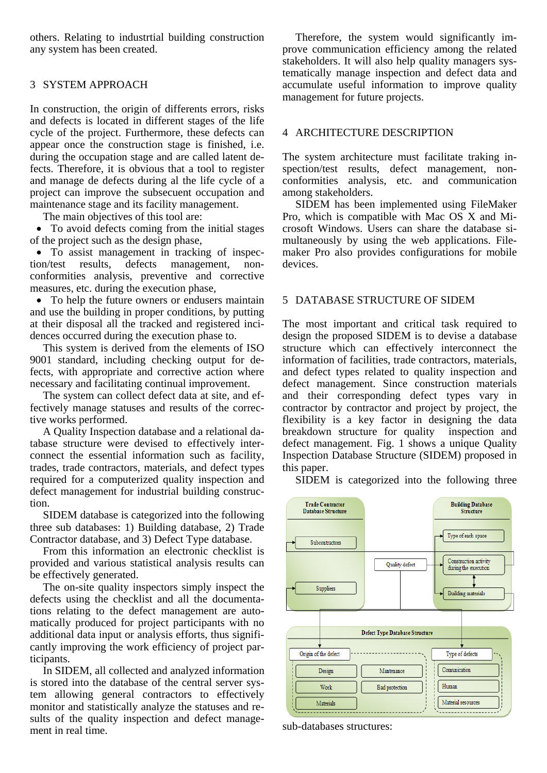others. Relating to industrtial building construction any system has been created.

# 3 SYSTEM APPROACH

In construction, the origin of differents errors, risks and defects is located in different stages of the life cycle of the project. Furthermore, these defects can appear once the construction stage is finished, i.e. during the occupation stage and are called latent defects. Therefore, it is obvious that a tool to register and manage de defects during al the life cycle of a project can improve the subsecuent occupation and maintenance stage and its facility management.

The main objectives of this tool are:

• To avoid defects coming from the initial stages of the project such as the design phase,

• To assist management in tracking of inspection/test results, defects management, nonconformities analysis, preventive and corrective measures, etc. during the execution phase,

• To help the future owners or endusers maintain and use the building in proper conditions, by putting at their disposal all the tracked and registered incidences occurred during the execution phase to.

This system is derived from the elements of ISO 9001 standard, including checking output for defects, with appropriate and corrective action where necessary and facilitating continual improvement.

The system can collect defect data at site, and effectively manage statuses and results of the corrective works performed.

A Quality Inspection database and a relational database structure were devised to effectively interconnect the essential information such as facility, trades, trade contractors, materials, and defect types required for a computerized quality inspection and defect management for industrial building construction.

SIDEM database is categorized into the following three sub databases: 1) Building database, 2) Trade Contractor database, and 3) Defect Type database.

From this information an electronic checklist is provided and various statistical analysis results can be effectively generated.

The on-site quality inspectors simply inspect the defects using the checklist and all the documentations relating to the defect management are automatically produced for project participants with no additional data input or analysis efforts, thus significantly improving the work efficiency of project participants.

In SIDEM, all collected and analyzed information is stored into the database of the central server system allowing general contractors to effectively monitor and statistically analyze the statuses and results of the quality inspection and defect management in real time.

Therefore, the system would significantly improve communication efficiency among the related stakeholders. It will also help quality managers systematically manage inspection and defect data and accumulate useful information to improve quality management for future projects.

## 4 ARCHITECTURE DESCRIPTION

The system architecture must facilitate traking inspection/test results, defect management, nonconformities analysis, etc. and communication among stakeholders.

SIDEM has been implemented using FileMaker Pro, which is compatible with Mac OS X and Microsoft Windows. Users can share the database simultaneously by using the web applications. Filemaker Pro also provides configurations for mobile devices.

# 5 DATABASE STRUCTURE OF SIDEM

The most important and critical task required to design the proposed SIDEM is to devise a database structure which can effectively interconnect the information of facilities, trade contractors, materials, and defect types related to quality inspection and defect management. Since construction materials and their corresponding defect types vary in contractor by contractor and project by project, the flexibility is a key factor in designing the data breakdown structure for quality inspection and defect management. Fig. 1 shows a unique Quality Inspection Database Structure (SIDEM) proposed in this paper.

SIDEM is categorized into the following three



sub-databases structures: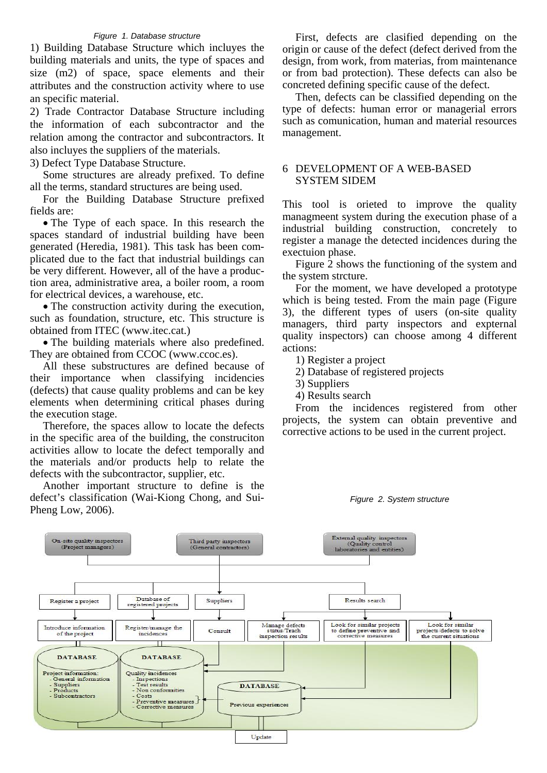### *Figure 1. Database structure*

1) Building Database Structure which incluyes the building materials and units, the type of spaces and size (m2) of space, space elements and their attributes and the construction activity where to use an specific material.

2) Trade Contractor Database Structure including the information of each subcontractor and the relation among the contractor and subcontractors. It also incluyes the suppliers of the materials.

3) Defect Type Database Structure.

Some structures are already prefixed. To define all the terms, standard structures are being used.

For the Building Database Structure prefixed fields are:

• The Type of each space. In this research the spaces standard of industrial building have been generated (Heredia, 1981). This task has been complicated due to the fact that industrial buildings can be very different. However, all of the have a production area, administrative area, a boiler room, a room for electrical devices, a warehouse, etc.

• The construction activity during the execution, such as foundation, structure, etc. This structure is obtained from ITEC (www.itec.cat.)

• The building materials where also predefined. They are obtained from CCOC (www.ccoc.es).

All these substructures are defined because of their importance when classifying incidencies (defects) that cause quality problems and can be key elements when determining critical phases during the execution stage.

Therefore, the spaces allow to locate the defects in the specific area of the building, the construciton activities allow to locate the defect temporally and the materials and/or products help to relate the defects with the subcontractor, supplier, etc.

Another important structure to define is the defect's classification (Wai-Kiong Chong, and Sui-Pheng Low, 2006).

First, defects are clasified depending on the origin or cause of the defect (defect derived from the design, from work, from materias, from maintenance or from bad protection). These defects can also be concreted defining specific cause of the defect.

Then, defects can be classified depending on the type of defects: human error or managerial errors such as comunication, human and material resources management.

# 6 DEVELOPMENT OF A WEB-BASED SYSTEM SIDEM

This tool is orieted to improve the quality managmeent system during the execution phase of a industrial building construction, concretely to register a manage the detected incidences during the exectuion phase.

Figure 2 shows the functioning of the system and the system strcture.

For the moment, we have developed a prototype which is being tested. From the main page (Figure 3), the different types of users (on-site quality managers, third party inspectors and expternal quality inspectors) can choose among 4 different actions:

1) Register a project

- 2) Database of registered projects
- 3) Suppliers

4) Results search

From the incidences registered from other projects, the system can obtain preventive and corrective actions to be used in the current project.

#### *Figure 2. System structure*

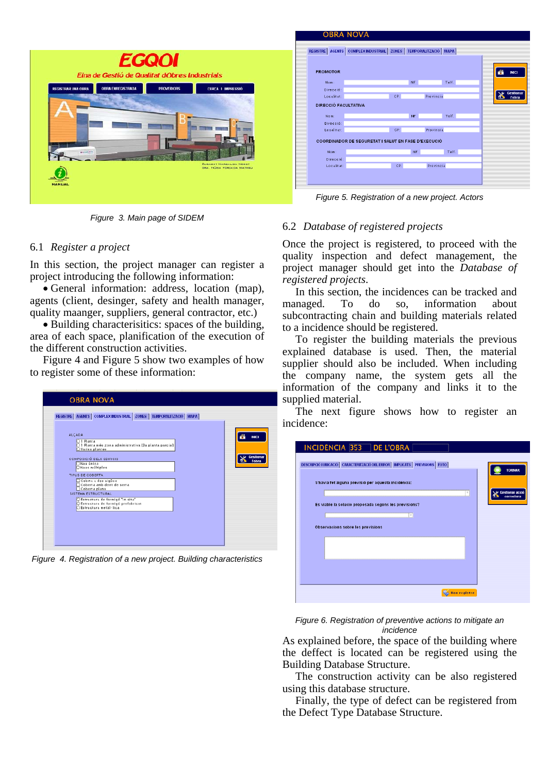

*Figure 3. Main page of SIDEM* 

# 6.1 *Register a project*

In this section, the project manager can register a project introducing the following information:

• General information: address, location (map), agents (client, desinger, safety and health manager, quality maanger, suppliers, general contractor, etc.)

• Building characterisitics: spaces of the building, area of each space, planification of the execution of the different construction activities.

Figure 4 and Figure 5 show two examples of how to register some of these information:

*Figure 4. Registration of a new project. Building characteristics* 

# 6.2 *Database of registered projects*

Once the project is registered, to proceed with the quality inspection and defect management, the project manager should get into the *Database of registered projects*.

In this section, the incidences can be tracked and managed. To do so, information about subcontracting chain and building materials related to a incidence should be registered.

To register the building materials the previous explained database is used. Then, the material supplier should also be included. When including the company name, the system gets all the information of the company and links it to the supplied material.

The next figure shows how to register an incidence:

| INCIDÈNCIA 353 DE L'OBRA<br>DESCRIPCIÓ I UBICACIÓ   CARACTERITZACIÓ DEL ERROR   IMPLICATS   PREVISIONS   FOTO |                                         |
|---------------------------------------------------------------------------------------------------------------|-----------------------------------------|
| S'havia fet alguna previsió per aquesta incidència:                                                           | <b>TORNAR</b><br><b>Gestionar acció</b> |
| v<br>Es viable la solució proposada segons les previsions?<br>$\overline{\phantom{a}}$                        | correctora                              |
| <b>Observacions sobre les previsions</b>                                                                      |                                         |
|                                                                                                               |                                         |
|                                                                                                               |                                         |
| <b>Show registre</b>                                                                                          |                                         |

*Figure 6. Registration of preventive actions to mitigate an incidence* 

As explained before, the space of the building where the deffect is located can be registered using the Building Database Structure.

The construction activity can be also registered using this database structure.

Finally, the type of defect can be registered from the Defect Type Database Structure.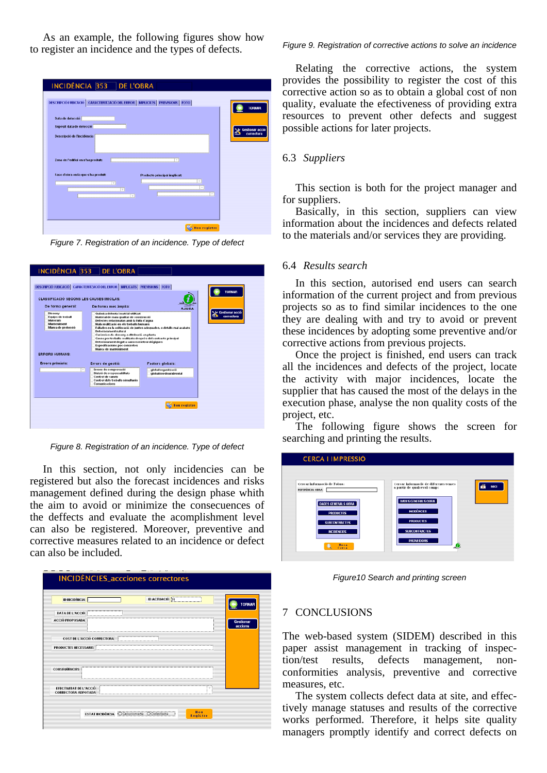As an example, the following figures show how to register an incidence and the types of defects.

| INCIDÈNCIA 353 DE L'OBRA                                                                                                                                       |                                      |
|----------------------------------------------------------------------------------------------------------------------------------------------------------------|--------------------------------------|
| DESCRIPCIÓ I UBICACIÓ CARACTERITZACIÓ DEL ERROR   IMPLICATS   PREVISIONS   FOTO<br>Data de detecció                                                            | <b>TORNAR</b>                        |
| Supósit data de detecció<br>Descripció de l'incidència                                                                                                         | <b>Gestionar acció</b><br>correctora |
| Zona de l'edifici on s'ha produit:<br>$\overline{\phantom{a}}$                                                                                                 |                                      |
| Fase d'obra en la que s'ha produit:<br>Producte principal implicat:<br>$\psi$<br>$\tau$<br>$\sim$<br>F<br>$\overline{\phantom{a}}$<br>$\overline{\phantom{a}}$ |                                      |
| <b>Hou registre</b>                                                                                                                                            |                                      |

*Figure 7. Registration of an incidence. Type of defect* 

| <b>CLASSIFICACIÓ SEGONS LES CAUSES INICILAS:</b><br>De forma general:                                           | De forma més àmplia:                                                                                                                                                                                                                                                                                                                                                                                                              |                                                                                                                        |
|-----------------------------------------------------------------------------------------------------------------|-----------------------------------------------------------------------------------------------------------------------------------------------------------------------------------------------------------------------------------------------------------------------------------------------------------------------------------------------------------------------------------------------------------------------------------|------------------------------------------------------------------------------------------------------------------------|
| Disseny<br>Equips de treball<br><b>Materials</b><br>Mariteniment<br>Manca de protecció<br><b>ERRORS HUMANS:</b> | Química dolenta i matrial utilitzat<br>Material de mala qualitat de construcció<br>Defectes relacionatas amb la fuita d'aigua<br>Mala realització en els treballs humans<br><b>Deteriorament natural</b><br>Carêncies de disseny o ditribució en planta<br>Causa per treballs realitzats després del contracte principal<br>Deteriorament degut a causes meteorológiques<br>Especificacions poc concretes<br>Manca de manteniment | AJUDA<br><b>Gestionar acció</b><br>correctora<br>Fallades en la col·locació de juntes adequades, o detalls mal acabats |
| <b>Errors primaris:</b><br>v                                                                                    | Errors de gestió:<br>Errors de comprovació<br>Divisió de responsabiliats<br>Control de canvis<br>Control dels treballs simultanis<br>Comunicacions                                                                                                                                                                                                                                                                                | <b>Factors globals:</b><br>global or ganització<br>global medioambiental                                               |

*Figure 8. Registration of an incidence. Type of defect* 

In this section, not only incidencies can be registered but also the forecast incidences and risks management defined during the design phase whith the aim to avoid or minimize the consecuences of the deffects and evaluate the acomplishment level can also be registered. Moreover, preventive and corrective measures related to an incidence or defect can also be included.

| <b>ID INCIDÈNCIA</b>                                 | <b>ID ACTUACIÓ 31</b> |                | <b>TORNAR</b>    |
|------------------------------------------------------|-----------------------|----------------|------------------|
| <b>DATA DE L'ACCIÓ</b>                               |                       |                |                  |
| <b>ACCIÓ PROPOSADA</b>                               |                       |                | <b>Gestionar</b> |
|                                                      |                       |                | accions          |
| <b>COST DE L'ACCIÓ CORRECTORA</b>                    |                       |                |                  |
| <b>PRODUCTES NECESSARIS</b>                          |                       |                |                  |
|                                                      |                       |                |                  |
|                                                      |                       |                |                  |
| <b>CONSEQUENCIES</b>                                 |                       |                |                  |
|                                                      |                       |                |                  |
| EFECTIVITAT DE L'ACCIÓ<br><b>CORRECTORA ADPOTADA</b> |                       | ____<br>$\sim$ |                  |
|                                                      |                       |                |                  |

#### *Figure 9. Registration of corrective actions to solve an incidence*

Relating the corrective actions, the system provides the possibility to register the cost of this corrective action so as to obtain a global cost of non quality, evaluate the efectiveness of providing extra resources to prevent other defects and suggest possible actions for later projects.

## 6.3 *Suppliers*

This section is both for the project manager and for suppliers.

Basically, in this section, suppliers can view information about the incidences and defects related to the materials and/or services they are providing.

### 6.4 *Results search*

In this section, autorised end users can search information of the current project and from previous projects so as to find similar incidences to the one they are dealing with and try to avoid or prevent these incidences by adopting some preventive and/or corrective actions from previous projects.

Once the project is finished, end users can track all the incidences and defects of the project, locate the activity with major incidences, locate the supplier that has caused the most of the delays in the execution phase, analyse the non quality costs of the project, etc.

The following figure shows the screen for searching and printing the results.

| <b>CERCA I IMPRESSIÓ</b>                        |                                                                                     |
|-------------------------------------------------|-------------------------------------------------------------------------------------|
| Cercar informació de l'obra:<br>REFERÈNCIA OBRA | Cercar informació de diferents temes<br><b>INICI</b><br>a partir de qualsevol camp: |
| DADES GENERALS OBRA<br><b>PRODUCTES</b>         | <b>DADES GENERALS OBRA</b><br><b>INCIDÊNCIES</b>                                    |
| <b>SUBCONTRACTES</b><br><b>INCIDÊNCIES</b>      | <b>PRODUCTES</b><br><b>SURCONTRACTES</b>                                            |
| Hova<br>٠<br>Cerca                              | <b>PROVEIDORS</b><br>٥                                                              |

*Figure10 Search and printing screen* 

#### 7 CONCLUSIONS

The web-based system (SIDEM) described in this paper assist management in tracking of inspection/test results, defects management, nonconformities analysis, preventive and corrective measures, etc.

The system collects defect data at site, and effectively manage statuses and results of the corrective works performed. Therefore, it helps site quality managers promptly identify and correct defects on